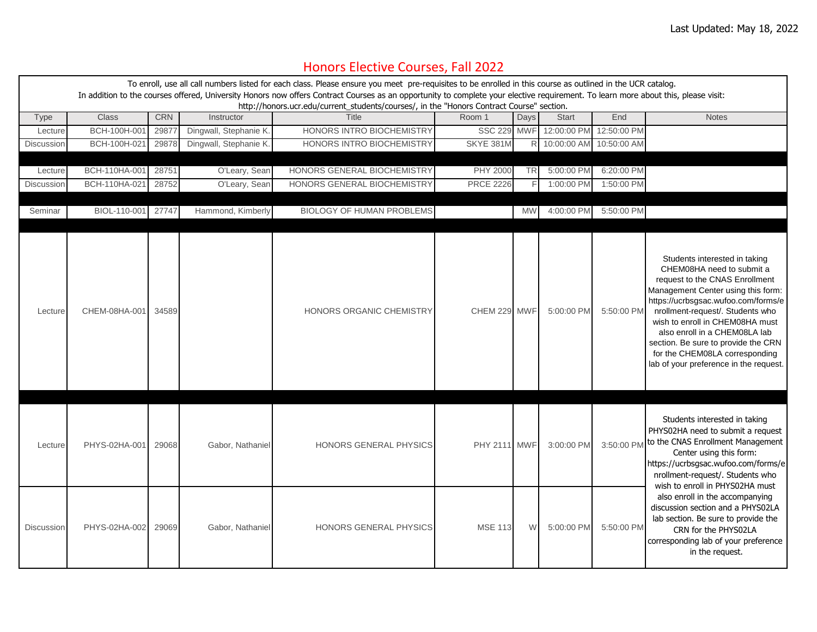## Honors Elective Courses, Fall 2022

| To enroll, use all call numbers listed for each class. Please ensure you meet pre-requisites to be enrolled in this course as outlined in the UCR catalog.<br>In addition to the courses offered, University Honors now offers Contract Courses as an opportunity to complete your elective requirement. To learn more about this, please visit:<br>http://honors.ucr.edu/current_students/courses/, in the "Honors Contract Course" section. |               |            |                        |                                  |                     |            |               |             |                                                                                                                                                                                                                                                                                                                                                                                                      |
|-----------------------------------------------------------------------------------------------------------------------------------------------------------------------------------------------------------------------------------------------------------------------------------------------------------------------------------------------------------------------------------------------------------------------------------------------|---------------|------------|------------------------|----------------------------------|---------------------|------------|---------------|-------------|------------------------------------------------------------------------------------------------------------------------------------------------------------------------------------------------------------------------------------------------------------------------------------------------------------------------------------------------------------------------------------------------------|
| <b>Type</b>                                                                                                                                                                                                                                                                                                                                                                                                                                   | <b>Class</b>  | <b>CRN</b> | Instructor             | Title                            | Room 1              | Days       | <b>Start</b>  | End         | <b>Notes</b>                                                                                                                                                                                                                                                                                                                                                                                         |
| Lecture                                                                                                                                                                                                                                                                                                                                                                                                                                       | BCH-100H-001  | 2987       | Dingwall, Stephanie K. | HONORS INTRO BIOCHEMISTRY        | <b>SSC 229</b>      | <b>MWF</b> | 12:00:00 PM   | 12:50:00 PM |                                                                                                                                                                                                                                                                                                                                                                                                      |
| Discussion                                                                                                                                                                                                                                                                                                                                                                                                                                    | BCH-100H-02   | 29878      | Dingwall, Stephanie K. | HONORS INTRO BIOCHEMISTRY        | SKYE 381M           |            | R 10:00:00 AM | 10:50:00 AM |                                                                                                                                                                                                                                                                                                                                                                                                      |
|                                                                                                                                                                                                                                                                                                                                                                                                                                               |               |            |                        |                                  |                     |            |               |             |                                                                                                                                                                                                                                                                                                                                                                                                      |
| Lecture                                                                                                                                                                                                                                                                                                                                                                                                                                       | BCH-110HA-001 | 28751      | O'Leary, Sean          | HONORS GENERAL BIOCHEMISTRY      | PHY 2000            | <b>TRI</b> | 5:00:00 PM    | 6:20:00 PM  |                                                                                                                                                                                                                                                                                                                                                                                                      |
| Discussion                                                                                                                                                                                                                                                                                                                                                                                                                                    | BCH-110HA-02  | 28752      | O'Leary, Sean          | HONORS GENERAL BIOCHEMISTRY      | <b>PRCE 2226</b>    |            | 1:00:00 PM    | 1:50:00 PM  |                                                                                                                                                                                                                                                                                                                                                                                                      |
|                                                                                                                                                                                                                                                                                                                                                                                                                                               |               |            |                        |                                  |                     |            |               |             |                                                                                                                                                                                                                                                                                                                                                                                                      |
| Seminar                                                                                                                                                                                                                                                                                                                                                                                                                                       | BIOL-110-001  | 27747      | Hammond, Kimberly      | <b>BIOLOGY OF HUMAN PROBLEMS</b> |                     | <b>MW</b>  | 4:00:00 PM    | 5:50:00 PM  |                                                                                                                                                                                                                                                                                                                                                                                                      |
| Lecture                                                                                                                                                                                                                                                                                                                                                                                                                                       | CHEM-08HA-001 | 34589      |                        | HONORS ORGANIC CHEMISTRY         | CHEM 229 MWF        |            | 5:00:00 PM    | 5:50:00 PM  | Students interested in taking<br>CHEM08HA need to submit a<br>request to the CNAS Enrollment<br>Management Center using this form:<br>https://ucrbsgsac.wufoo.com/forms/e<br>nrollment-request/. Students who<br>wish to enroll in CHEM08HA must<br>also enroll in a CHEM08LA lab<br>section. Be sure to provide the CRN<br>for the CHEM08LA corresponding<br>lab of your preference in the request. |
| Lecture                                                                                                                                                                                                                                                                                                                                                                                                                                       | PHYS-02HA-001 | 29068      | Gabor, Nathaniel       | HONORS GENERAL PHYSICS           | <b>PHY 2111 MWF</b> |            | 3:00:00 PM    |             | Students interested in taking<br>PHYS02HA need to submit a request<br>3:50:00 PM to the CNAS Enrollment Management<br>Center using this form:<br>https://ucrbsgsac.wufoo.com/forms/e<br>nrollment-request/. Students who<br>wish to enroll in PHYS02HA must                                                                                                                                          |
| Discussion                                                                                                                                                                                                                                                                                                                                                                                                                                    | PHYS-02HA-002 | 29069      | Gabor, Nathaniel       | HONORS GENERAL PHYSICS           | <b>MSE 113</b>      | W.         | 5:00:00 PM    | 5:50:00 PM  | also enroll in the accompanying<br>discussion section and a PHYS02LA<br>lab section. Be sure to provide the<br>CRN for the PHYS02LA<br>corresponding lab of your preference<br>in the request.                                                                                                                                                                                                       |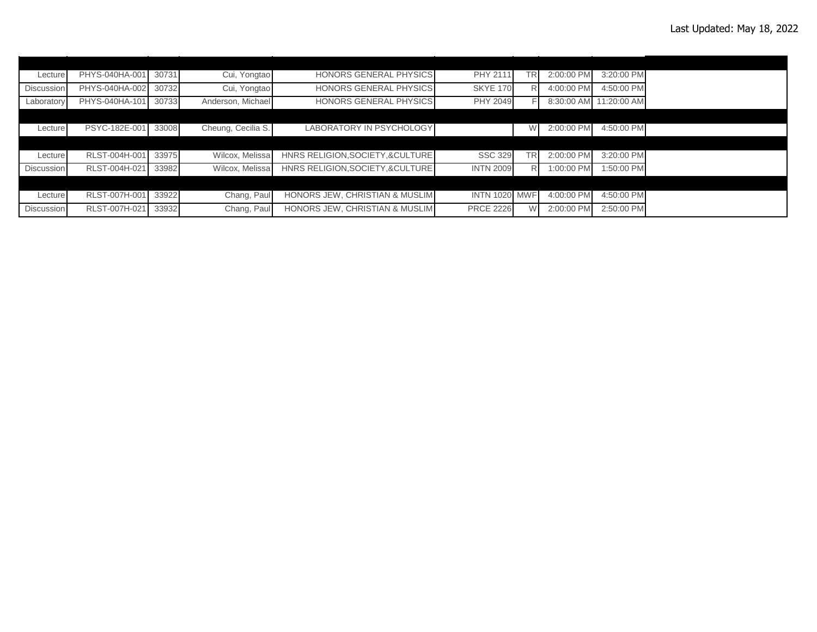| Lecture           | PHYS-040HA-001 | 30731 | Cui, Yongtao       | <b>HONORS GENERAL PHYSICS</b>     | PHY 2111             | <b>TRI</b> | 2:00:00 PM | 3:20:00 PM             |  |
|-------------------|----------------|-------|--------------------|-----------------------------------|----------------------|------------|------------|------------------------|--|
| <b>Discussion</b> | PHYS-040HA-002 | 30732 | Cui, Yongtao       | <b>HONORS GENERAL PHYSICS</b>     | <b>SKYE 170</b>      |            | 4:00:00 PM | 4:50:00 PM             |  |
| Laboratory        | PHYS-040HA-101 | 30733 | Anderson, Michael  | <b>HONORS GENERAL PHYSICS</b>     | PHY 2049             |            |            | 8:30:00 AM 11:20:00 AM |  |
|                   |                |       |                    |                                   |                      |            |            |                        |  |
| Lecture           | PSYC-182E-001  | 33008 | Cheung, Cecilia S. | <b>LABORATORY IN PSYCHOLOGY</b>   |                      |            | 2:00:00 PM | 4:50:00 PM             |  |
|                   |                |       |                    |                                   |                      |            |            |                        |  |
| Lecture           | RLST-004H-001  | 33975 | Wilcox, Melissa    | HNRS RELIGION, SOCIETY, & CULTURE | <b>SSC 329</b>       | TR.        | 2:00:00 PM | 3:20:00 PM             |  |
| <b>Discussion</b> | RLST-004H-021  | 33982 | Wilcox, Melissa    | HNRS RELIGION, SOCIETY, & CULTURE | <b>INTN 2009</b>     | R          | 1:00:00 PM | 1:50:00 PM             |  |
|                   |                |       |                    |                                   |                      |            |            |                        |  |
| Lecture           | RLST-007H-001  | 33922 | Chang, Paul        | HONORS JEW, CHRISTIAN & MUSLIM    | <b>INTN 1020 MWF</b> |            | 4:00:00 PM | 4:50:00 PM             |  |
| Discussion        | RLST-007H-021  | 33932 | Chang, Paul        | HONORS JEW. CHRISTIAN & MUSLIM    | <b>PRCE 2226</b>     |            | 2:00:00 PM | 2:50:00 PM             |  |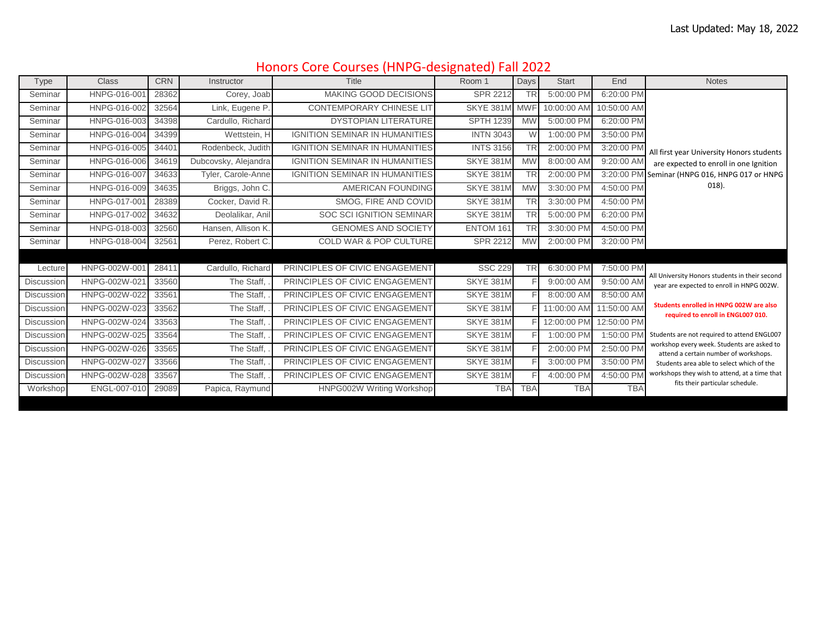## Honors Core Courses (HNPG‐designated) Fall 2022

| Type              | <b>Class</b>  | <b>CRN</b> | Instructor           | <b>Title</b>                          | Room 1           | Days       | <b>Start</b> | End         | <b>Notes</b>                                                                        |
|-------------------|---------------|------------|----------------------|---------------------------------------|------------------|------------|--------------|-------------|-------------------------------------------------------------------------------------|
| Seminar           | HNPG-016-00   | 28362      | Corey, Joab          | MAKING GOOD DECISIONS                 | <b>SPR 2212</b>  | <b>TR</b>  | 5:00:00 PM   | 6:20:00 PM  |                                                                                     |
| Seminar           | HNPG-016-002  | 32564      | Link, Eugene P.      | <b>CONTEMPORARY CHINESE LIT</b>       | SKYE 381M        | <b>MWF</b> | 10:00:00 AM  | 10:50:00 AM |                                                                                     |
| Seminar           | HNPG-016-003  | 34398      | Cardullo, Richard    | <b>DYSTOPIAN LITERATURE</b>           | <b>SPTH 1239</b> | <b>MW</b>  | 5:00:00 PM   | 6:20:00 PM  |                                                                                     |
| Seminar           | HNPG-016-004  | 34399      | Wettstein, H         | <b>IGNITION SEMINAR IN HUMANITIES</b> | <b>INTN 3043</b> | <b>W</b>   | 1:00:00 PM   | 3:50:00 PM  |                                                                                     |
| Seminar           | HNPG-016-005  | 34401      | Rodenbeck, Judith    | <b>IGNITION SEMINAR IN HUMANITIES</b> | <b>INTS 3156</b> | <b>TR</b>  | 2:00:00 PM   | 3:20:00 PM  | All first year University Honors students                                           |
| Seminar           | HNPG-016-006  | 34619      | Dubcovsky, Alejandra | <b>IGNITION SEMINAR IN HUMANITIES</b> | SKYE 381M        | <b>MW</b>  | 8:00:00 AM   | 9:20:00 AM  | are expected to enroll in one Ignition                                              |
| Seminar           | HNPG-016-007  | 34633      | Tyler, Carole-Anne   | <b>IGNITION SEMINAR IN HUMANITIES</b> | SKYE 381M        | <b>TR</b>  | 2:00:00 PM   |             | 3:20:00 PM Seminar (HNPG 016, HNPG 017 or HNPG                                      |
| Seminar           | HNPG-016-009  | 34635      | Briggs, John C.      | AMERICAN FOUNDING                     | SKYE 381M        | <b>MW</b>  | 3:30:00 PM   | 4:50:00 PM  | $018$ ).                                                                            |
| Seminar           | HNPG-017-001  | 28389      | Cocker, David R.     | SMOG, FIRE AND COVID                  | SKYE 381M        | <b>TR</b>  | 3:30:00 PM   | 4:50:00 PM  |                                                                                     |
| Seminar           | HNPG-017-002  | 34632      | Deolalikar, Anil     | <b>SOC SCI IGNITION SEMINAR</b>       | SKYE 381M        | <b>TR</b>  | 5:00:00 PM   | 6:20:00 PM  |                                                                                     |
| Seminar           | HNPG-018-003  | 32560      | Hansen, Allison K.   | <b>GENOMES AND SOCIETY</b>            | ENTOM 161        | <b>TR</b>  | 3:30:00 PM   | 4:50:00 PM  |                                                                                     |
| Seminar           | HNPG-018-004  | 32561      | Perez, Robert C.     | <b>COLD WAR &amp; POP CULTURE</b>     | SPR 2212         | <b>MW</b>  | 2:00:00 PM   | 3:20:00 PM  |                                                                                     |
|                   |               |            |                      |                                       |                  |            |              |             |                                                                                     |
| Lecture           | HNPG-002W-001 | 28411      | Cardullo, Richard    | PRINCIPLES OF CIVIC ENGAGEMENT        | <b>SSC 229</b>   | <b>TR</b>  | 6:30:00 PM   | 7:50:00 PM  | All University Honors students in their second                                      |
| Discussion        | HNPG-002W-021 | 33560      | The Staff,           | PRINCIPLES OF CIVIC ENGAGEMENT        | SKYE 381M        |            | 9:00:00 AM   | 9:50:00 AM  | year are expected to enroll in HNPG 002W.                                           |
| Discussion        | HNPG-002W-022 | 33561      | The Staff,           | PRINCIPLES OF CIVIC ENGAGEMENT        | SKYE 381M        |            | 8:00:00 AM   | 8:50:00 AM  |                                                                                     |
| Discussion        | HNPG-002W-023 | 33562      | The Staff,           | PRINCIPLES OF CIVIC ENGAGEMENT        | SKYE 381M        |            | 11:00:00 AM  | 11:50:00 AM | Students enrolled in HNPG 002W are also<br>required to enroll in ENGL007 010.       |
| <b>Discussion</b> | HNPG-002W-024 | 33563      | The Staff,           | PRINCIPLES OF CIVIC ENGAGEMENT        | SKYE 381M        |            | 12:00:00 PM  | 12:50:00 PM |                                                                                     |
| <b>Discussion</b> | HNPG-002W-025 | 33564      | The Staff,           | PRINCIPLES OF CIVIC ENGAGEMENT        | SKYE 381M        |            | 1:00:00 PM   | 1:50:00 PM  | Students are not required to attend ENGL007                                         |
| Discussion        | HNPG-002W-026 | 33565      | The Staff,           | PRINCIPLES OF CIVIC ENGAGEMENT        | SKYE 381M        |            | 2:00:00 PM   | 2:50:00 PM  | workshop every week. Students are asked to<br>attend a certain number of workshops. |
| Discussion        | HNPG-002W-027 | 33566      | The Staff,           | PRINCIPLES OF CIVIC ENGAGEMENT        | SKYE 381M        |            | 3:00:00 PM   | 3:50:00 PM  | Students area able to select which of the                                           |
| Discussion        | HNPG-002W-028 | 33567      | The Staff,           | PRINCIPLES OF CIVIC ENGAGEMENT        | SKYE 381M        |            | 4:00:00 PM   | 4:50:00 PM  | workshops they wish to attend, at a time that<br>fits their particular schedule.    |
| Workshop          | ENGL-007-010  | 29089      | Papica, Raymund      | HNPG002W Writing Workshop             | <b>TBA</b>       | <b>TBA</b> | <b>TBA</b>   | <b>TBA</b>  |                                                                                     |